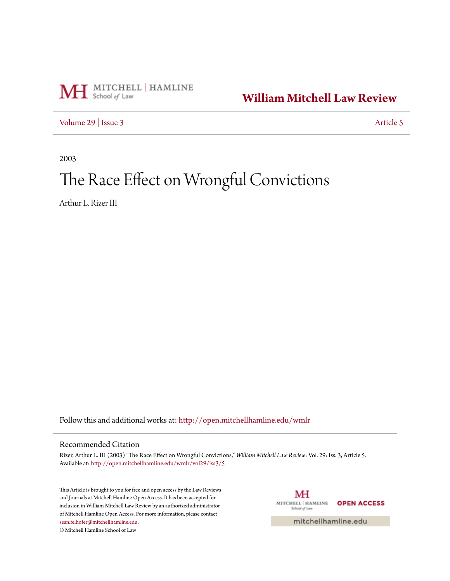

**[William Mitchell Law Review](http://open.mitchellhamline.edu/wmlr?utm_source=open.mitchellhamline.edu%2Fwmlr%2Fvol29%2Fiss3%2F5&utm_medium=PDF&utm_campaign=PDFCoverPages)**

[Volume 29](http://open.mitchellhamline.edu/wmlr/vol29?utm_source=open.mitchellhamline.edu%2Fwmlr%2Fvol29%2Fiss3%2F5&utm_medium=PDF&utm_campaign=PDFCoverPages) | [Issue 3](http://open.mitchellhamline.edu/wmlr/vol29/iss3?utm_source=open.mitchellhamline.edu%2Fwmlr%2Fvol29%2Fiss3%2F5&utm_medium=PDF&utm_campaign=PDFCoverPages) [Article 5](http://open.mitchellhamline.edu/wmlr/vol29/iss3/5?utm_source=open.mitchellhamline.edu%2Fwmlr%2Fvol29%2Fiss3%2F5&utm_medium=PDF&utm_campaign=PDFCoverPages)

2003

# The Race Effect on Wrongful Convictions

Arthur L. Rizer III

Follow this and additional works at: [http://open.mitchellhamline.edu/wmlr](http://open.mitchellhamline.edu/wmlr?utm_source=open.mitchellhamline.edu%2Fwmlr%2Fvol29%2Fiss3%2F5&utm_medium=PDF&utm_campaign=PDFCoverPages)

## Recommended Citation

Rizer, Arthur L. III (2003) "The Race Effect on Wrongful Convictions," *William Mitchell Law Review*: Vol. 29: Iss. 3, Article 5. Available at: [http://open.mitchellhamline.edu/wmlr/vol29/iss3/5](http://open.mitchellhamline.edu/wmlr/vol29/iss3/5?utm_source=open.mitchellhamline.edu%2Fwmlr%2Fvol29%2Fiss3%2F5&utm_medium=PDF&utm_campaign=PDFCoverPages)

This Article is brought to you for free and open access by the Law Reviews and Journals at Mitchell Hamline Open Access. It has been accepted for inclusion in William Mitchell Law Review by an authorized administrator of Mitchell Hamline Open Access. For more information, please contact [sean.felhofer@mitchellhamline.edu](mailto:sean.felhofer@mitchellhamline.edu). © Mitchell Hamline School of Law

МH MITCHELL | HAMLINE **OPEN ACCESS** School of Law

mitchellhamline.edu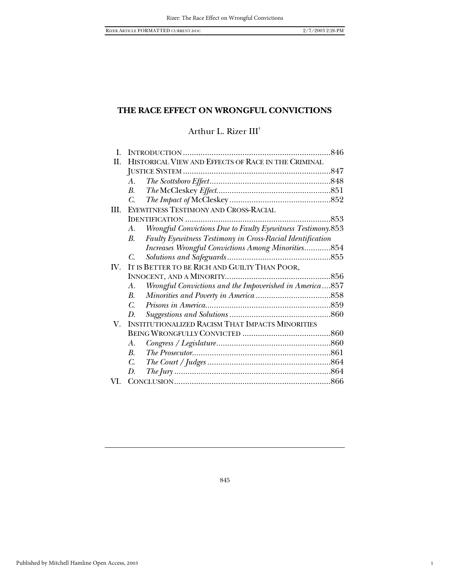1

## **THE RACE EFFECT ON WRONGFUL CONVICTIONS**

Arthur L. Rizer III†

| Ī.          |                                                         |                                                             |     |
|-------------|---------------------------------------------------------|-------------------------------------------------------------|-----|
| H.          | HISTORICAL VIEW AND EFFECTS OF RACE IN THE CRIMINAL     |                                                             |     |
|             |                                                         |                                                             |     |
|             | A.                                                      |                                                             |     |
|             | <i>B.</i>                                               |                                                             |     |
|             | $\mathcal{C}$ .                                         |                                                             |     |
| III.        |                                                         | EYEWITNESS TESTIMONY AND CROSS-RACIAL                       |     |
|             |                                                         |                                                             | 853 |
|             | A.                                                      | Wrongful Convictions Due to Faulty Eyewitness Testimony.853 |     |
|             | В.                                                      | Faulty Eyewitness Testimony in Cross-Racial Identification  |     |
|             |                                                         | <b>Increases Wrongful Convictions Among Minorities854</b>   |     |
|             | C.                                                      |                                                             |     |
| $W_{\cdot}$ |                                                         | IT IS BETTER TO BE RICH AND GUILTY THAN POOR,               |     |
|             |                                                         |                                                             |     |
|             | $A_{\cdot}$                                             | Wrongful Convictions and the Impoverished in America857     |     |
|             | В.                                                      |                                                             |     |
|             | $\overline{C}$ .                                        |                                                             |     |
|             | D.                                                      |                                                             |     |
| V.          | <b>INSTITUTIONALIZED RACISM THAT IMPACTS MINORITIES</b> |                                                             |     |
|             |                                                         |                                                             |     |
|             | A.                                                      |                                                             |     |
|             | $\mathbf{B}$ .                                          |                                                             |     |
|             | $C_{\cdot}$                                             |                                                             |     |
|             | D.                                                      |                                                             |     |
| VI.         |                                                         |                                                             |     |

845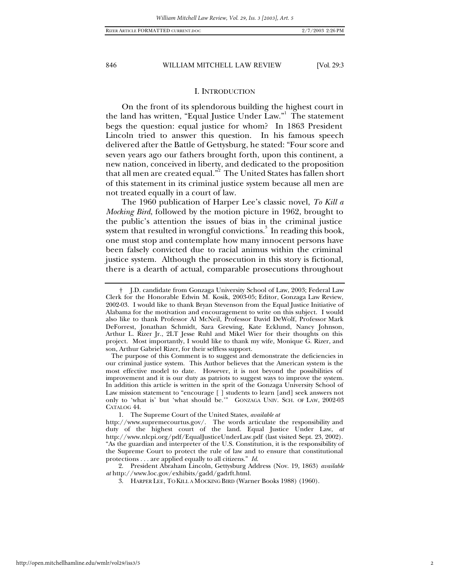#### I. INTRODUCTION

On the front of its splendorous building the highest court in the land has written, "Equal Justice Under Law."<sup>1</sup> The statement begs the question: equal justice for whom? In 1863 President Lincoln tried to answer this question. In his famous speech delivered after the Battle of Gettysburg, he stated: "Four score and seven years ago our fathers brought forth, upon this continent, a new nation, conceived in liberty, and dedicated to the proposition that all men are created equal." $^{\text{2}}$  The United States has fallen short of this statement in its criminal justice system because all men are not treated equally in a court of law.

The 1960 publication of Harper Lee's classic novel, *To Kill a Mocking Bird*, followed by the motion picture in 1962, brought to the public's attention the issues of bias in the criminal justice system that resulted in wrongful convictions. $3$  In reading this book, one must stop and contemplate how many innocent persons have been falsely convicted due to racial animus within the criminal justice system. Although the prosecution in this story is fictional, there is a dearth of actual, comparable prosecutions throughout

2. President Abraham Lincoln, Gettysburg Address (Nov. 19, 1863) *available at* http://www.loc.gov/exhibits/gadd/gadrft.html.

 <sup>†</sup> J.D. candidate from Gonzaga University School of Law, 2003; Federal Law Clerk for the Honorable Edwin M. Kosik, 2003-05; Editor, Gonzaga Law Review, 2002-03. I would like to thank Bryan Stevenson from the Equal Justice Initiative of Alabama for the motivation and encouragement to write on this subject. I would also like to thank Professor Al McNeil, Professor David DeWolf, Professor Mark DeForrest, Jonathan Schmidt, Sara Grewing, Kate Ecklund, Nancy Johnson, Arthur L. Rizer Jr., 2LT Jesse Ruhl and Mikel Wier for their thoughts on this project. Most importantly, I would like to thank my wife, Monique G. Rizer, and son, Arthur Gabriel Rizer, for their selfless support.

The purpose of this Comment is to suggest and demonstrate the deficiencies in our criminal justice system. This Author believes that the American system is the most effective model to date. However, it is not beyond the possibilities of improvement and it is our duty as patriots to suggest ways to improve the system. In addition this article is written in the sprit of the Gonzaga University School of Law mission statement to "encourage [ ] students to learn [and] seek answers not only to 'what is' but 'what should be.'" GONZAGA UNIV. SCH. OF LAW, 2002-03 CATALOG 44.

<sup>1.</sup> The Supreme Court of the United States, *available at*

http://www.supremecourtus.gov/. The words articulate the responsibility and duty of the highest court of the land. Equal Justice Under Law, *at* http://www.nlcpi.org/pdf/EqualJusticeUnderLaw.pdf (last visited Sept. 23, 2002). "As the guardian and interpreter of the U.S. Constitution, it is the responsibility of the Supreme Court to protect the rule of law and to ensure that constitutional protections . . . are applied equally to all citizens." *Id*.

<sup>3.</sup> HARPER LEE, TO KILL A MOCKING BIRD (Warner Books 1988) (1960).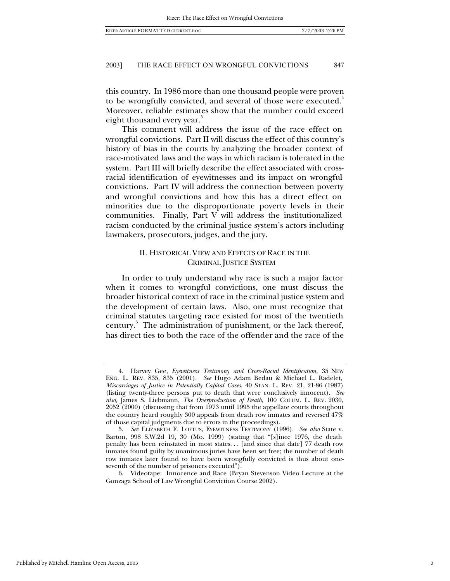this country. In 1986 more than one thousand people were proven to be wrongfully convicted, and several of those were executed.<sup>4</sup> Moreover, reliable estimates show that the number could exceed eight thousand every year.<sup>5</sup>

This comment will address the issue of the race effect on wrongful convictions. Part II will discuss the effect of this country's history of bias in the courts by analyzing the broader context of race-motivated laws and the ways in which racism is tolerated in the system. Part III will briefly describe the effect associated with crossracial identification of eyewitnesses and its impact on wrongful convictions. Part IV will address the connection between poverty and wrongful convictions and how this has a direct effect on minorities due to the disproportionate poverty levels in their communities. Finally, Part V will address the institutionalized racism conducted by the criminal justice system's actors including lawmakers, prosecutors, judges, and the jury.

## II. HISTORICAL VIEW AND EFFECTS OF RACE IN THE CRIMINAL JUSTICE SYSTEM

In order to truly understand why race is such a major factor when it comes to wrongful convictions, one must discuss the broader historical context of race in the criminal justice system and the development of certain laws. Also, one must recognize that criminal statutes targeting race existed for most of the twentieth century.<sup>6</sup> The administration of punishment, or the lack thereof, has direct ties to both the race of the offender and the race of the

<sup>4.</sup> Harvey Gee, *Eyewitness Testimony and Cross-Racial Identification,* 35 NEW ENG. L. REV. 835, 835 (2001). *See* Hugo Adam Bedau & Michael L. Radelet, *Miscarriages of Justice in Potentially Capital Cases*, 40 STAN. L. REV. 21, 21-86 (1987) (listing twenty-three persons put to death that were conclusively innocent). *See also,* James S. Liebmann, *The Overproduction of Death*, 100 COLUM. L. REV. 2030, 2052 (2000) (discussing that from 1973 until 1995 the appellate courts throughout the country heard roughly 300 appeals from death row inmates and reversed 47% of those capital judgments due to errors in the proceedings).

<sup>5.</sup> *See* ELIZABETH F. LOFTUS, EYEWITNESS TESTIMONY (1996). *See also* State v. Barton, 998 S.W.2d 19, 30 (Mo. 1999) (stating that "[s]ince 1976, the death penalty has been reinstated in most states. . . [and since that date] 77 death row inmates found guilty by unanimous juries have been set free; the number of death row inmates later found to have been wrongfully convicted is thus about oneseventh of the number of prisoners executed").

<sup>6.</sup> Videotape: Innocence and Race (Bryan Stevenson Video Lecture at the Gonzaga School of Law Wrongful Conviction Course 2002).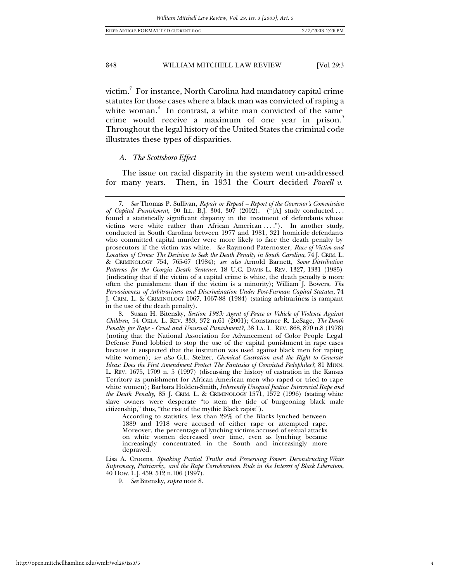victim. $^7$  For instance, North Carolina had mandatory capital crime statutes for those cases where a black man was convicted of raping a white woman.<sup>8</sup> In contrast, a white man convicted of the same crime would receive a maximum of one year in prison. Throughout the legal history of the United States the criminal code illustrates these types of disparities.

#### *A. The Scottsboro Effect*

The issue on racial disparity in the system went un-addressed for many years. Then, in 1931 the Court decided *Powell v.* 

<sup>7.</sup> *See* Thomas P. Sullivan, *Repair or Repeal – Report of the Governor's Commission of Capital Punishment,* 90 ILL. B.J. 304, 307 (2002). ("[A] study conducted . . . found a statistically significant disparity in the treatment of defendants whose victims were white rather than African American . . . ."). In another study, conducted in South Carolina between 1977 and 1981, 321 homicide defendants who committed capital murder were more likely to face the death penalty by prosecutors if the victim was white. *See* Raymond Paternoster, *Race of Victim and Location of Crime: The Decision to Seek the Death Penalty in South Carolina*, 74 J. CRIM. L. & CRIMINOLOGY 754, 765-67 (1984); *see also* Arnold Barnett, *Some Distribution Patterns for the Georgia Death Sentence*, 18 U.C. DAVIS L. REV. 1327, 1331 (1985) (indicating that if the victim of a capital crime is white, the death penalty is more often the punishment than if the victim is a minority); William J. Bowers, *The Pervasiveness of Arbitrariness and Discrimination Under Post-Furman Capital Statutes*, 74 J. CRIM. L. & CRIMINOLOGY 1067, 1067-88 (1984) (stating arbitrariness is rampant in the use of the death penalty).

<sup>8.</sup> Susan H. Bitensky, *Section 1983: Agent of Peace or Vehicle of Violence Against Children*, 54 OKLA. L. REV. 333, 372 n.61 (2001); Constance R. LeSage, *The Death Penalty for Rape - Cruel and Unusual Punishment?*, 38 LA. L. REV. 868, 870 n.8 (1978) (noting that the National Association for Advancement of Color People Legal Defense Fund lobbied to stop the use of the capital punishment in rape cases because it suspected that the institution was used against black men for raping white women); *see also* G.L. Stelzer, *Chemical Castration and the Right to Generate Ideas: Does the First Amendment Protect The Fantasies of Convicted Pedophiles?,* 81 MINN. L. REV. 1675, 1709 n. 5 (1997) (discussing the history of castration in the Kansas Territory as punishment for African American men who raped or tried to rape white women); Barbara Holden-Smith, *Inherently Unequal Justice: Interracial Rape and the Death Penalty*, 85 J. CRIM. L. & CRIMINOLOGY 1571, 1572 (1996) (stating white slave owners were desperate "to stem the tide of burgeoning black male citizenship," thus, "the rise of the mythic Black rapist").

According to statistics, less than 29% of the Blacks lynched between 1889 and 1918 were accused of either rape or attempted rape. Moreover, the percentage of lynching victims accused of sexual attacks on white women decreased over time, even as lynching became increasingly concentrated in the South and increasingly more depraved.

Lisa A. Crooms, *Speaking Partial Truths and Preserving Power: Deconstructing White Supremacy, Patriarchy, and the Rape Corroboration Rule in the Interest of Black Liberation*, 40 HOW. L.J. 459, 512 n.106 (1997).

<sup>9</sup>*. See* Bitensky, *supra* note 8.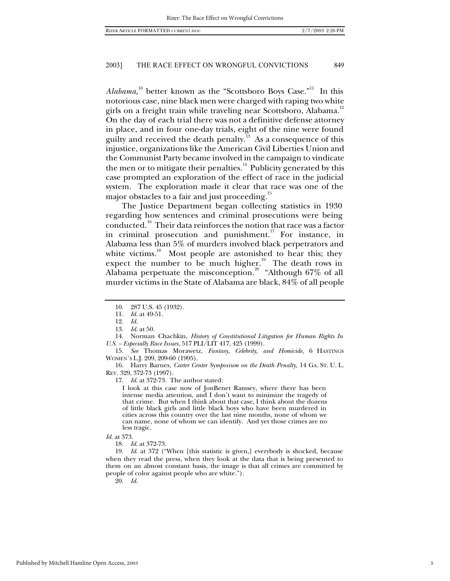$Alabama$ <sup>10</sup> better known as the "Scottsboro Boys Case."<sup>11</sup> In this notorious case, nine black men were charged with raping two white girls on a freight train while traveling near Scottsboro, Alabama.<sup>12</sup> On the day of each trial there was not a definitive defense attorney in place, and in four one-day trials, eight of the nine were found guilty and received the death penalty.<sup>13</sup> As a consequence of this injustice, organizations like the American Civil Liberties Union and the Communist Party became involved in the campaign to vindicate the men or to mitigate their penalties.<sup>14</sup> Publicity generated by this case prompted an exploration of the effect of race in the judicial system. The exploration made it clear that race was one of the major obstacles to a fair and just proceeding.<sup>15</sup>

The Justice Department began collecting statistics in 1930 regarding how sentences and criminal prosecutions were being conducted.<sup>16</sup> Their data reinforces the notion that race was a factor in criminal prosecution and punishment.<sup>17</sup> For instance, in Alabama less than 5% of murders involved black perpetrators and white victims. $18$  Most people are astonished to hear this; they expect the number to be much higher.<sup>19</sup> The death rows in Alabama perpetuate the misconception.<sup>20</sup> "Although 67% of all murder victims in the State of Alabama are black, 84% of all people

16. Harry Barnes, *Carter Center Symposium on the Death Penalty,* 14 GA. ST. U. L. REV. 329, 372-73 (1997).

17*. Id*. at 372-73. The author stated:

I look at this case now of JonBenet Ramsey, where there has been intense media attention, and I don't want to minimize the tragedy of that crime. But when I think about that case, I think about the dozens of little black girls and little black boys who have been murdered in cities across this country over the last nine months, none of whom we can name, none of whom we can identify. And yet those crimes are no less tragic.

*Id*. at 373.

18*. Id*. at 372-73.

19*. Id*. at 372 ("When [this statistic is given,] everybody is shocked, because when they read the press, when they look at the data that is being presented to them on an almost constant basis, the image is that all crimes are committed by people of color against people who are white.").

20. *Id*.

<sup>10. 287</sup> U.S. 45 (1932).

<sup>11</sup>*. Id.* at 49-51.

<sup>12.</sup> *Id*.

<sup>13.</sup> *Id*. at 50.

<sup>14.</sup> Norman Chachkin, *History of Constitutional Litigation for Human Rights In U.S. – Especially Race Issues,* 517 PLI/LIT 417, 425 (1999).

<sup>15</sup>*. See* Thomas Morawetz, *Fantasy, Celebrity, and Homicide,* 6 HASTINGS WOMEN'S L.J. 209, 209-60 (1995).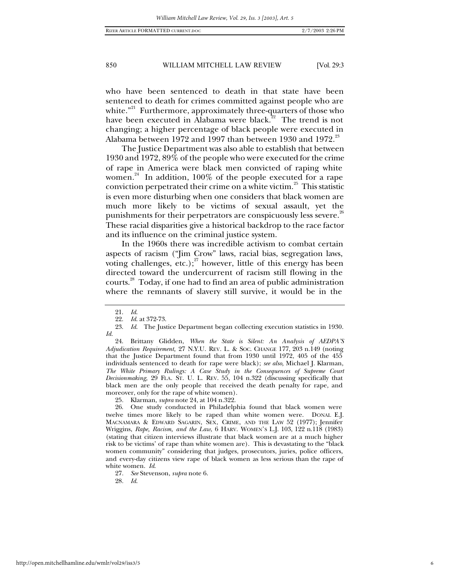who have been sentenced to death in that state have been sentenced to death for crimes committed against people who are white. $"^{21}$  Furthermore, approximately three-quarters of those who have been executed in Alabama were black.<sup>22</sup> The trend is not changing; a higher percentage of black people were executed in Alabama between 1972 and 1997 than between 1930 and 1972. $^{23}$ 

The Justice Department was also able to establish that between 1930 and 1972, 89% of the people who were executed for the crime of rape in America were black men convicted of raping white women.<sup>24</sup> In addition,  $100\%$  of the people executed for a rape conviction perpetrated their crime on a white victim.<sup>25</sup> This statistic is even more disturbing when one considers that black women are much more likely to be victims of sexual assault, yet the punishments for their perpetrators are conspicuously less severe.<sup>26</sup> These racial disparities give a historical backdrop to the race factor and its influence on the criminal justice system.

In the 1960s there was incredible activism to combat certain aspects of racism ("Jim Crow" laws, racial bias, segregation laws, voting challenges, etc.); $^{27}$  however, little of this energy has been directed toward the undercurrent of racism still flowing in the courts.28 Today, if one had to find an area of public administration where the remnants of slavery still survive, it would be in the

24. Brittany Glidden, *When the State is Silent: An Analysis of AEDPA'S Adjudication Requirement,* 27 N.Y.U. REV. L. & SOC. CHANGE 177, 203 n.149 (noting that the Justice Department found that from 1930 until 1972, 405 of the 455 individuals sentenced to death for rape were black); *see also,* Michael J. Klarman, *The White Primary Rulings: A Case Study in the Consequences of Supreme Court Decisionmaking,* 29 FLA. ST. U. L. REV. 55, 104 n.322 (discussing specifically that black men are the only people that received the death penalty for rape, and moreover, only for the rape of white women).

25*.* Klarman, *supra* note 24, at 104 n.322.

26. One study conducted in Philadelphia found that black women were twelve times more likely to be raped than white women were. DONAL E.J. MACNAMARA & EDWARD SAGARIN, SEX, CRIME, AND THE LAW 52 (1977); Jennifer Wriggins, *Rape, Racism, and the Law*, 6 HARV. WOMEN'S L.J. 103, 122 n.118 (1983) (stating that citizen interviews illustrate that black women are at a much higher risk to be victims' of rape than white women are). This is devastating to the "black women community" considering that judges, prosecutors, juries, police officers, and every-day citizens view rape of black women as less serious than the rape of white women. *Id*.

27*. See* Stevenson, *supra* note 6.

28*. Id*.

<sup>21.</sup> *Id*.

<sup>22.</sup> *Id*. at 372-73.

<sup>23.</sup> *Id*. The Justice Department began collecting execution statistics in 1930. *Id.*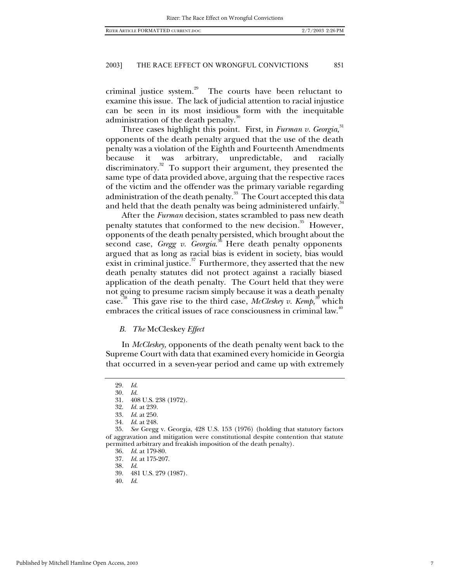criminal justice system.<sup>29</sup> The courts have been reluctant to examine this issue. The lack of judicial attention to racial injustice can be seen in its most insidious form with the inequitable administration of the death penalty.<sup>30</sup>

Three cases highlight this point. First, in *Furman v. Georgia*,<sup>31</sup> opponents of the death penalty argued that the use of the death penalty was a violation of the Eighth and Fourteenth Amendments because it was arbitrary, unpredictable, and racially discriminatory. $32^{\circ}$  To support their argument, they presented the same type of data provided above, arguing that the respective races of the victim and the offender was the primary variable regarding administration of the death penalty.<sup>33</sup> The Court accepted this data and held that the death penalty was being administered unfairly.<sup>34</sup>

After the *Furman* decision, states scrambled to pass new death penalty statutes that conformed to the new decision.<sup>35</sup> However, opponents of the death penalty persisted, which brought about the second case, *Gregg v. Georgia*.<sup>36</sup> Here death penalty opponents argued that as long as racial bias is evident in society, bias would exist in criminal justice. $37$  Furthermore, they asserted that the new death penalty statutes did not protect against a racially biased application of the death penalty. The Court held that they were not going to presume racism simply because it was a death penalty case.<sup>38</sup> This gave rise to the third case, *McCleskey v. Kemp*,<sup>39</sup> which embraces the critical issues of race consciousness in criminal law.<sup>40</sup>

#### *B. The* McCleskey *Effect*

In *McCleskey,* opponents of the death penalty went back to the Supreme Court with data that examined every homicide in Georgia that occurred in a seven-year period and came up with extremely

<sup>29</sup>*. Id*.

<sup>30</sup>*. Id*.

<sup>31. 408</sup> U.S. 238 (1972).

<sup>32.</sup> *Id.* at 239.

<sup>33</sup>*. Id*. at 250.

<sup>34</sup>*. Id*. at 248.

<sup>35.</sup> *See* Gregg v. Georgia, 428 U.S. 153 (1976) (holding that statutory factors of aggravation and mitigation were constitutional despite contention that statute permitted arbitrary and freakish imposition of the death penalty).

<sup>36</sup>*. Id*. at 179-80.

<sup>37</sup>*. Id*. at 175-207.

<sup>38</sup>*. Id*.

<sup>39. 481</sup> U.S. 279 (1987).

<sup>40.</sup> *Id*.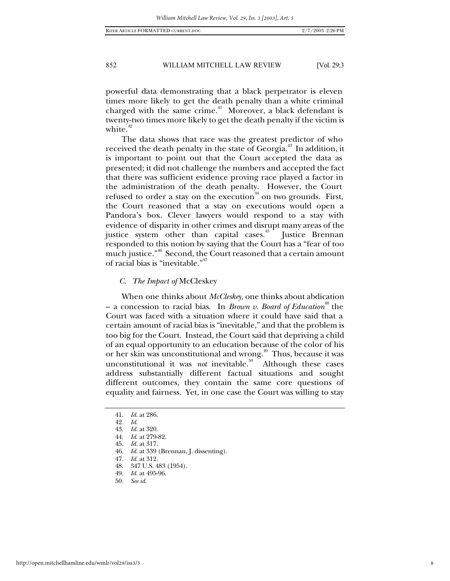powerful data demonstrating that a black perpetrator is eleven times more likely to get the death penalty than a white criminal charged with the same crime.<sup> $41$ </sup> Moreover, a black defendant is twenty-two times more likely to get the death penalty if the victim is white. $42$ 

The data shows that race was the greatest predictor of who received the death penalty in the state of Georgia.<sup>43</sup> In addition, it is important to point out that the Court accepted the data as presented; it did not challenge the numbers and accepted the fact that there was sufficient evidence proving race played a factor in the administration of the death penalty. However, the Court refused to order a stay on the execution $44$  on two grounds. First, the Court reasoned that a stay on executions would open a Pandora's box. Clever lawyers would respond to a stay with evidence of disparity in other crimes and disrupt many areas of the justice system other than capital cases.<sup>45</sup> Justice Brennan responded to this notion by saying that the Court has a "fear of too much justice."<sup>46</sup> Second, the Court reasoned that a certain amount of racial bias is "inevitable."47

## *C. The Impact of* McCleskey

When one thinks about *McCleskey,* one thinks about abdication -- a concession to racial bias. In *Brown v. Board of Education*<sup>48</sup> the Court was faced with a situation where it could have said that a certain amount of racial bias is "inevitable," and that the problem is too big for the Court. Instead, the Court said that depriving a child of an equal opportunity to an education because of the color of his or her skin was unconstitutional and wrong.<sup>49</sup> Thus, because it was unconstitutional it was *not* inevitable.<sup>50</sup> Although these cases address substantially different factual situations and sought different outcomes, they contain the same core questions of equality and fairness. Yet, in one case the Court was willing to stay

<sup>41</sup>*. Id*. at 286.

<sup>42</sup>*. Id*.

<sup>43</sup>*. Id*. at 320.

<sup>44.</sup> *Id*. at 279-82.

<sup>45</sup>*. Id.* at 317.

<sup>46</sup>*. Id*. at 339 (Brennan, J. dissenting).

<sup>47</sup>*. Id*. at 312.

<sup>48. 347</sup> U.S. 483 (1954).

<sup>49</sup>*. Id.* at 495-96.

<sup>50</sup>*. See id*.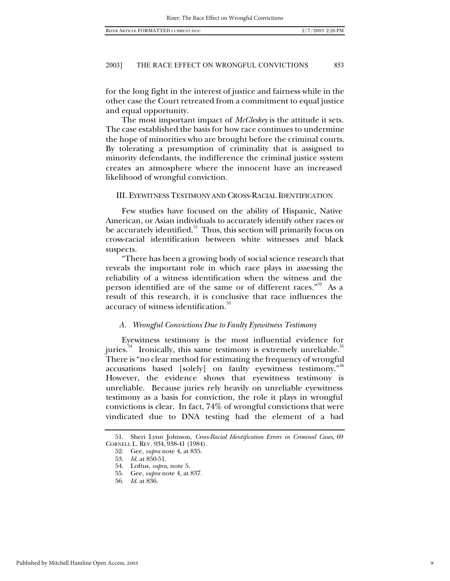for the long fight in the interest of justice and fairness while in the other case the Court retreated from a commitment to equal justice and equal opportunity.

The most important impact of *McCleskey* is the attitude it sets. The case established the basis for how race continues to undermine the hope of minorities who are brought before the criminal courts. By tolerating a presumption of criminality that is assigned to minority defendants, the indifference the criminal justice system creates an atmosphere where the innocent have an increased likelihood of wrongful conviction.

#### III. EYEWITNESS TESTIMONY AND CROSS-RACIAL IDENTIFICATION

Few studies have focused on the ability of Hispanic, Native American, or Asian individuals to accurately identify other races or be accurately identified. $51$  Thus, this section will primarily focus on cross-racial identification between white witnesses and black suspects.

"There has been a growing body of social science research that reveals the important role in which race plays in assessing the reliability of a witness identification when the witness and the person identified are of the same or of different races."<sup>52</sup> As a result of this research, it is conclusive that race influences the accuracy of witness identification.<sup>53</sup>

### *A. Wrongful Convictions Due to Faulty Eyewitness Testimony*

Eyewitness testimony is the most influential evidence for juries. $34$  Ironically, this same testimony is extremely unreliable. $35$ There is "no clear method for estimating the frequency of wrongful accusations based [solely] on faulty eyewitness testimony."<sup>56</sup> However, the evidence shows that eyewitness testimony is unreliable. Because juries rely heavily on unreliable eyewitness testimony as a basis for conviction, the role it plays in wrongful convictions is clear. In fact, 74% of wrongful convictions that were vindicated due to DNA testing had the element of a bad

<sup>51.</sup> Sheri Lynn Johnson, *Cross-Racial Identification Errors in Criminal Cases,* 69 CORNELL L. REV. 934, 938-41 (1984).

<sup>52.</sup> Gee, *supra* note 4, at 835.

<sup>53.</sup> *Id*. at 850-51.

<sup>54.</sup> Loftus, *supra,* note 5.

<sup>55.</sup> Gee, *supra* note 4, at 837.

<sup>56</sup>*. Id*. at 836.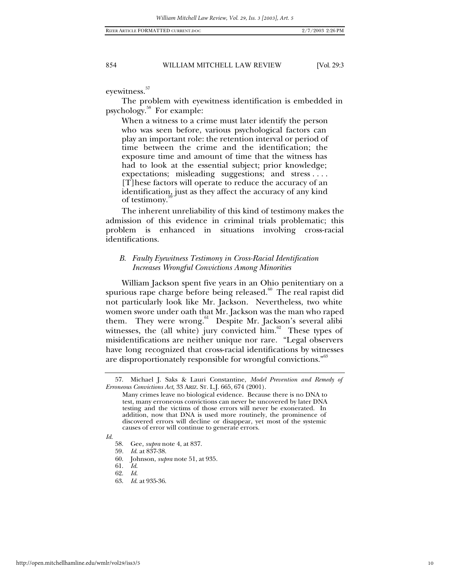eyewitness.<sup>57</sup>

The problem with eyewitness identification is embedded in psychology.58 For example:

When a witness to a crime must later identify the person who was seen before, various psychological factors can play an important role: the retention interval or period of time between the crime and the identification; the exposure time and amount of time that the witness has had to look at the essential subject; prior knowledge; expectations; misleading suggestions; and stress . . . . [T]hese factors will operate to reduce the accuracy of an identification, just as they affect the accuracy of any kind of testimony.

The inherent unreliability of this kind of testimony makes the admission of this evidence in criminal trials problematic; this problem is enhanced in situations involving cross-racial identifications.

## *B. Faulty Eyewitness Testimony in Cross-Racial Identification Increases Wrongful Convictions Among Minorities*

William Jackson spent five years in an Ohio penitentiary on a spurious rape charge before being released.<sup>60</sup> The real rapist did not particularly look like Mr. Jackson. Nevertheless, two white women swore under oath that Mr. Jackson was the man who raped them. They were wrong.<sup>61</sup> Despite Mr. Jackson's several alibi witnesses, the (all white) jury convicted him. $62$  These types of misidentifications are neither unique nor rare. "Legal observers have long recognized that cross-racial identifications by witnesses are disproportionately responsible for wrongful convictions."<sup>63</sup>

<sup>57.</sup> Michael J. Saks & Lauri Constantine, *Model Prevention and Remedy of Erroneous Convictions Act,* 33 ARIZ. ST. L.J. 665, 674 (2001).

Many crimes leave no biological evidence. Because there is no DNA to test, many erroneous convictions can never be uncovered by later DNA testing and the victims of those errors will never be exonerated. In addition, now that DNA is used more routinely, the prominence of discovered errors will decline or disappear, yet most of the systemic causes of error will continue to generate errors.

*Id*.

<sup>58.</sup> Gee, *supra* note 4, at 837.

<sup>59</sup>*. Id*. at 837-38.

<sup>60.</sup> Johnson, *supra* note 51, at 935.

<sup>61.</sup> *Id*.

<sup>62.</sup> *Id*.

<sup>63.</sup> *Id*. at 935-36.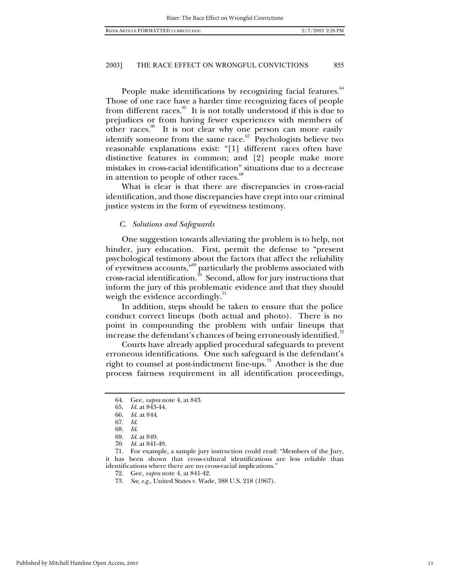People make identifications by recognizing facial features.<sup>64</sup> Those of one race have a harder time recognizing faces of people from different races. $65$  It is not totally understood if this is due to prejudices or from having fewer experiences with members of other races. $66$  It is not clear why one person can more easily identify someone from the same race. $67$  Psychologists believe two reasonable explanations exist: "[1] different races often have distinctive features in common; and [2] people make more mistakes in cross-racial identification" situations due to a decrease in attention to people of other races.<sup>68</sup>

What is clear is that there are discrepancies in cross-racial identification, and those discrepancies have crept into our criminal justice system in the form of eyewitness testimony.

#### *C. Solutions and Safeguards*

One suggestion towards alleviating the problem is to help, not hinder, jury education. First, permit the defense to "present psychological testimony about the factors that affect the reliability of eyewitness accounts,"<sup>69</sup> particularly the problems associated with cross-racial identification. $^{70}$  Second, allow for jury instructions that inform the jury of this problematic evidence and that they should weigh the evidence accordingly.<sup>11</sup>

In addition, steps should be taken to ensure that the police conduct correct lineups (both actual and photo). There is no point in compounding the problem with unfair lineups that increase the defendant's chances of being erroneously identified.<sup>72</sup>

Courts have already applied procedural safeguards to prevent erroneous identifications. One such safeguard is the defendant's right to counsel at post-indictment line-ups.73 Another is the due process fairness requirement in all identification proceedings,

<sup>64.</sup> Gee, *supra* note 4, at 843.

<sup>65.</sup> *Id*. at 843-44.

<sup>66.</sup> *Id*. at 844.

<sup>67.</sup> *Id*.

<sup>68.</sup> *Id*.

<sup>69.</sup> *Id*. at 849.

<sup>70.</sup> *Id.* at 841-49.

<sup>71.</sup> For example, a sample jury instruction could read: "Members of the Jury, it has been shown that cross-cultural identifications are less reliable than identifications where there are no cross-racial implications."

<sup>72.</sup> Gee, *supra* note 4, at 841-42.

<sup>73</sup>*. See, e.g.,* United States v. Wade, 388 U.S. 218 (1967).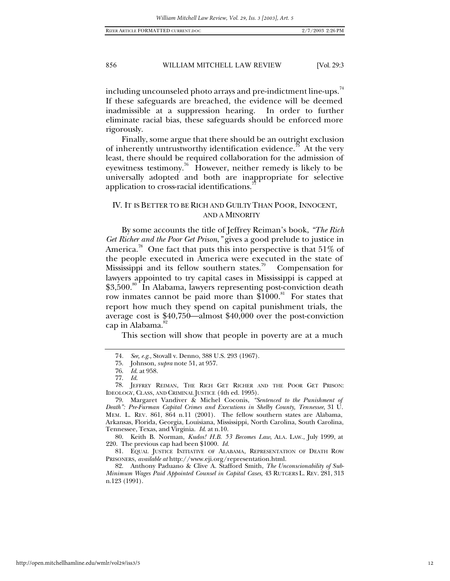including uncounseled photo arrays and pre-indictment line-ups.<sup>74</sup> If these safeguards are breached, the evidence will be deemed inadmissible at a suppression hearing. In order to further eliminate racial bias, these safeguards should be enforced more rigorously.

Finally, some argue that there should be an outright exclusion of inherently untrustworthy identification evidence.<sup>75</sup> At the very least, there should be required collaboration for the admission of eyewitness testimony.<sup>76</sup> However, neither remedy is likely to be universally adopted and both are inappropriate for selective application to cross-racial identifications.<sup>7</sup>

## IV. IT IS BETTER TO BE RICH AND GUILTY THAN POOR, INNOCENT, AND A MINORITY

By some accounts the title of Jeffrey Reiman's book, *"The Rich Get Richer and the Poor Get Prison*,*"* gives a good prelude to justice in America.<sup>78</sup> One fact that puts this into perspective is that 51% of the people executed in America were executed in the state of Mississippi and its fellow southern states.<sup>79</sup> Compensation for lawyers appointed to try capital cases in Mississippi is capped at \$3,500.<sup>80</sup> In Alabama, lawyers representing post-conviction death row inmates cannot be paid more than  $$1000$ .<sup>81</sup> For states that report how much they spend on capital punishment trials, the average cost is  $$40,750$ —almost  $$40,000$  over the post-conviction cap in Alabama.<sup>82</sup>

This section will show that people in poverty are at a much

80. Keith B. Norman, *Kudos! H.B. 53 Becomes Law*, ALA. LAW., July 1999, at 220. The previous cap had been \$1000. *Id.*

81. EQUAL JUSTICE INITIATIVE OF ALABAMA, REPRESENTATION OF DEATH ROW PRISONERS, *available at* http://www.eji.org/representation.html.

82. Anthony Paduano & Clive A. Stafford Smith, *The Unconscionability of Sub-Minimum Wages Paid Appointed Counsel in Capital Cases,* 43 RUTGERS L. REV. 281, 313 n.123 (1991).

<sup>74</sup>*. See, e.g.,* Stovall v. Denno, 388 U.S. 293 (1967).

<sup>75.</sup> Johnson, *supra* note 51, at 957.

<sup>76.</sup> *Id*. at 958.

<sup>77.</sup> *Id*.

<sup>78.</sup> JEFFREY REIMAN, THE RICH GET RICHER AND THE POOR GET PRISON: IDEOLOGY, CLASS, AND CRIMINAL JUSTICE (4th ed. 1995).

<sup>79.</sup> Margaret Vandiver & Michel Coconis, *"Sentenced to the Punishment of Death": Pre-Furman Capital Crimes and Executions in Shelby County, Tennessee*, 31 U. MEM. L. REV. 861, 864 n.11 (2001). The fellow southern states are Alabama, Arkansas, Florida, Georgia, Louisiana, Mississippi, North Carolina, South Carolina, Tennessee, Texas, and Virginia. *Id*. at n.10.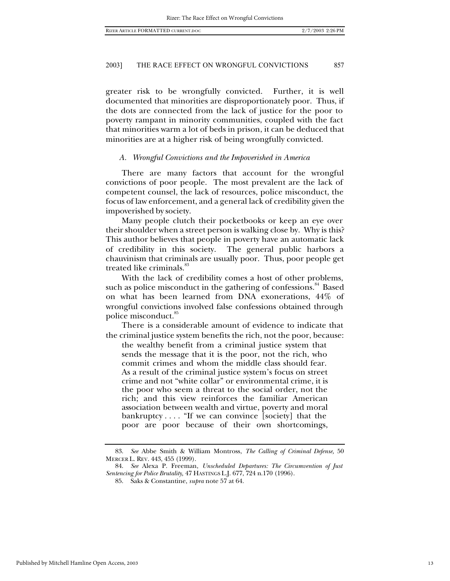greater risk to be wrongfully convicted. Further, it is well documented that minorities are disproportionately poor. Thus, if the dots are connected from the lack of justice for the poor to poverty rampant in minority communities, coupled with the fact that minorities warm a lot of beds in prison, it can be deduced that minorities are at a higher risk of being wrongfully convicted.

#### *A. Wrongful Convictions and the Impoverished in America*

There are many factors that account for the wrongful convictions of poor people. The most prevalent are the lack of competent counsel, the lack of resources, police misconduct, the focus of law enforcement, and a general lack of credibility given the impoverished by society.

Many people clutch their pocketbooks or keep an eye over their shoulder when a street person is walking close by. Why is this? This author believes that people in poverty have an automatic lack of credibility in this society. The general public harbors a chauvinism that criminals are usually poor. Thus, poor people get treated like criminals.<sup>83</sup>

With the lack of credibility comes a host of other problems, such as police misconduct in the gathering of confessions.<sup>84</sup> Based on what has been learned from DNA exonerations, 44% of wrongful convictions involved false confessions obtained through police misconduct.<sup>85</sup>

There is a considerable amount of evidence to indicate that the criminal justice system benefits the rich, not the poor, because:

the wealthy benefit from a criminal justice system that sends the message that it is the poor, not the rich, who commit crimes and whom the middle class should fear. As a result of the criminal justice system's focus on street crime and not "white collar" or environmental crime, it is the poor who seem a threat to the social order, not the rich; and this view reinforces the familiar American association between wealth and virtue, poverty and moral bankruptcy . . . . "If we can convince [society] that the poor are poor because of their own shortcomings,

<sup>83.</sup> *See* Abbe Smith & William Montross, *The Calling of Criminal Defense,* 50 MERCER L. REV. 443, 455 (1999).

<sup>84.</sup> *See* Alexa P. Freeman, *Unscheduled Departures: The Circumvention of Just Sentencing for Police Brutality,* 47 HASTINGS L.J. 677, 724 n.170 (1996).

<sup>85.</sup> Saks & Constantine, *supra* note 57 at 64.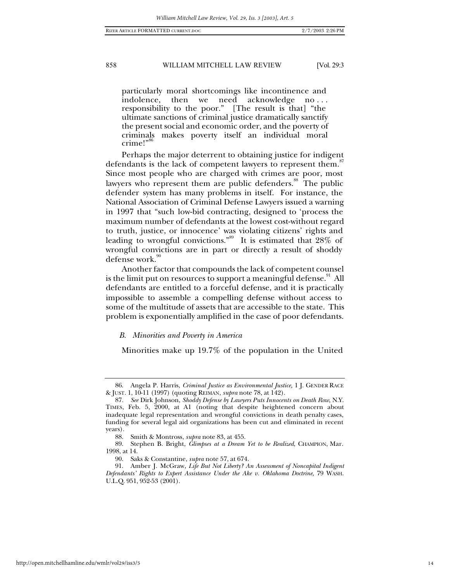particularly moral shortcomings like incontinence and indolence, then we need acknowledge no... responsibility to the poor." [The result is that] "the ultimate sanctions of criminal justice dramatically sanctify the present social and economic order, and the poverty of criminals makes poverty itself an individual moral crime!"

Perhaps the major deterrent to obtaining justice for indigent defendants is the lack of competent lawyers to represent them.<sup>87</sup> Since most people who are charged with crimes are poor, most lawyers who represent them are public defenders.<sup>88</sup> The public defender system has many problems in itself. For instance, the National Association of Criminal Defense Lawyers issued a warning in 1997 that "such low-bid contracting, designed to 'process the maximum number of defendants at the lowest cost-without regard to truth, justice, or innocence' was violating citizens' rights and leading to wrongful convictions."<sup>89</sup> It is estimated that 28% of wrongful convictions are in part or directly a result of shoddy defense work.<sup>90</sup>

Another factor that compounds the lack of competent counsel is the limit put on resources to support a meaningful defense.<sup>91</sup> All defendants are entitled to a forceful defense, and it is practically impossible to assemble a compelling defense without access to some of the multitude of assets that are accessible to the state. This problem is exponentially amplified in the case of poor defendants.

#### *B. Minorities and Poverty in America*

Minorities make up 19.7% of the population in the United

<sup>86.</sup> Angela P. Harris, *Criminal Justice as Environmental Justice,* 1 J. GENDER RACE & JUST. 1, 10-11 (1997) (quoting REIMAN, *supra* note 78, at 142).

<sup>87</sup>*. See* Dirk Johnson, *Shoddy Defense by Lawyers Puts Innocents on Death Row*, N.Y. TIMES, Feb. 5, 2000, at A1 (noting that despite heightened concern about inadequate legal representation and wrongful convictions in death penalty cases, funding for several legal aid organizations has been cut and eliminated in recent years).

<sup>88.</sup> Smith & Montross, *supra* note 83, at 455.

<sup>89.</sup> Stephen B. Bright, *Glimpses at a Dream Yet to be Realized*, CHAMPION, Mar. 1998, at 14.

<sup>90.</sup> Saks & Constantine, *supra* note 57, at 674.

<sup>91.</sup> Amber J. McGraw, *Life But Not Liberty? An Assessment of Noncapital Indigent Defendants' Rights to Expert Assistance Under the Ake v. Oklahoma Doctrine,* 79 WASH. U.L.Q. 951, 952-53 (2001).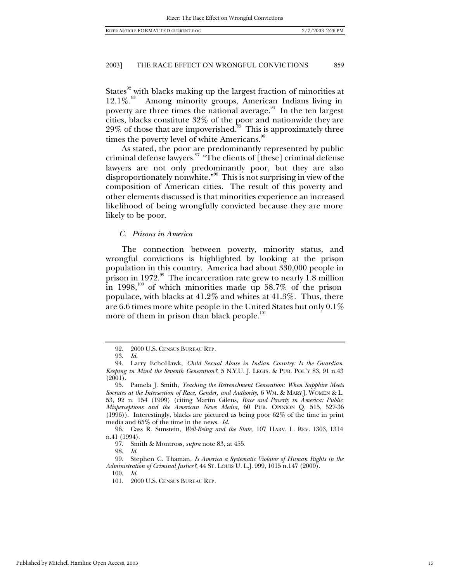States<sup>92</sup> with blacks making up the largest fraction of minorities at  $12.1\%$ .<sup>93</sup> Among minority groups, American Indians living in Among minority groups, American Indians living in poverty are three times the national average. $94$  In the ten largest cities, blacks constitute 32% of the poor and nationwide they are  $29\%$  of those that are impoverished.<sup>95</sup> This is approximately three times the poverty level of white Americans.<sup>96</sup>

As stated, the poor are predominantly represented by public criminal defense lawyers.<sup>97</sup> "The clients of [these] criminal defense lawyers are not only predominantly poor, but they are also disproportionately nonwhite."98 This is not surprising in view of the composition of American cities. The result of this poverty and other elements discussed is that minorities experience an increased likelihood of being wrongfully convicted because they are more likely to be poor.

#### *C. Prisons in America*

The connection between poverty, minority status, and wrongful convictions is highlighted by looking at the prison population in this country. America had about 330,000 people in prison in 1972.<sup>99</sup> The incarceration rate grew to nearly 1.8 million in 1998, $100$  of which minorities made up 58.7% of the prison populace, with blacks at 41.2% and whites at 41.3%. Thus, there are 6.6 times more white people in the United States but only 0.1% more of them in prison than black people.<sup>101</sup>

<sup>92. 2000</sup> U.S. CENSUS BUREAU REP.

<sup>93.</sup> *Id*.

<sup>94.</sup> Larry EchoHawk, *Child Sexual Abuse in Indian Country: Is the Guardian Keeping in Mind the Seventh Generation?*, 5 N.Y.U. J. LEGIS. & PUB. POL'Y 83, 91 n.43  $(2001)$ .

<sup>95.</sup> Pamela J. Smith, *Teaching the Retrenchment Generation: When Sapphire Meets Socrates at the Intersection of Race, Gender, and Authority,* 6 WM. & MARY J. WOMEN & L. 53, 92 n. 154 (1999) (citing Martin Gilens, *Race and Poverty in America: Public Misperceptions and the American News Media,* 60 PUB. OPINION Q. 515, 527-36 (1996)). Interestingly, blacks are pictured as being poor 62% of the time in print media and 65% of the time in the news. *Id*.

<sup>96.</sup> Cass R. Sunstein, *Well-Being and the State,* 107 HARV. L. REV. 1303, 1314 n.41 (1994).

<sup>97.</sup> Smith & Montross, *supra* note 83, at 455.

<sup>98.</sup> *Id*.

<sup>99.</sup> Stephen C. Thaman, *Is America a Systematic Violator of Human Rights in the Administration of Criminal Justice?*, 44 ST. LOUIS U. L.J. 999, 1015 n.147 (2000).

<sup>100.</sup> *Id*.

<sup>101. 2000</sup> U.S. CENSUS BUREAU REP.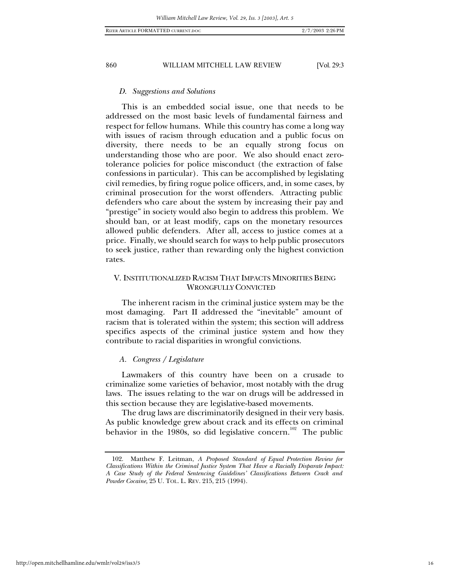#### *D. Suggestions and Solutions*

This is an embedded social issue, one that needs to be addressed on the most basic levels of fundamental fairness and respect for fellow humans. While this country has come a long way with issues of racism through education and a public focus on diversity, there needs to be an equally strong focus on understanding those who are poor. We also should enact zerotolerance policies for police misconduct (the extraction of false confessions in particular). This can be accomplished by legislating civil remedies, by firing rogue police officers, and, in some cases, by criminal prosecution for the worst offenders. Attracting public defenders who care about the system by increasing their pay and "prestige" in society would also begin to address this problem. We should ban, or at least modify, caps on the monetary resources allowed public defenders. After all, access to justice comes at a price. Finally, we should search for ways to help public prosecutors to seek justice, rather than rewarding only the highest conviction rates.

## V. INSTITUTIONALIZED RACISM THAT IMPACTS MINORITIES BEING WRONGFULLY CONVICTED

The inherent racism in the criminal justice system may be the most damaging. Part II addressed the "inevitable" amount of racism that is tolerated within the system; this section will address specifics aspects of the criminal justice system and how they contribute to racial disparities in wrongful convictions.

#### *A. Congress / Legislature*

Lawmakers of this country have been on a crusade to criminalize some varieties of behavior, most notably with the drug laws. The issues relating to the war on drugs will be addressed in this section because they are legislative-based movements.

The drug laws are discriminatorily designed in their very basis. As public knowledge grew about crack and its effects on criminal behavior in the 1980s, so did legislative concern.<sup>102</sup> The public

<sup>102.</sup> Matthew F. Leitman, *A Proposed Standard of Equal Protection Review for Classifications Within the Criminal Justice System That Have a Racially Disparate Impact: A Case Study of the Federal Sentencing Guidelines' Classifications Between Crack and Powder Cocaine,* 25 U. TOL. L. REV. 215, 215 (1994).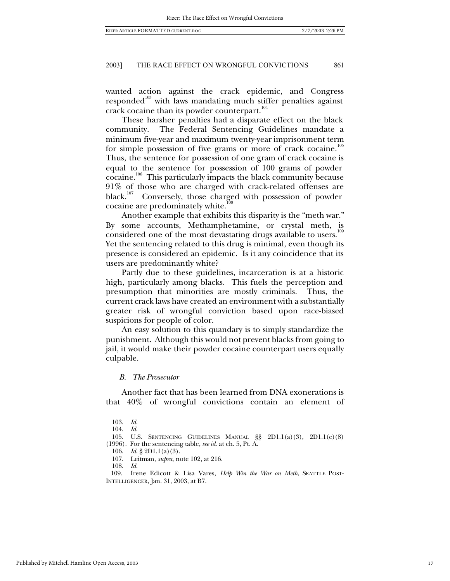wanted action against the crack epidemic, and Congress responded<sup>103</sup> with laws mandating much stiffer penalties against crack cocaine than its powder counterpart.<sup>104</sup>

These harsher penalties had a disparate effect on the black community. The Federal Sentencing Guidelines mandate a minimum five-year and maximum twenty-year imprisonment term for simple possession of five grams or more of crack cocaine.<sup>105</sup> Thus, the sentence for possession of one gram of crack cocaine is equal to the sentence for possession of 100 grams of powder cocaine.<sup>106</sup> This particularly impacts the black community because 91% of those who are charged with crack-related offenses are black.<sup>107</sup> Conversely, those charged with possession of powder cocaine are predominately white.<sup>10</sup>

Another example that exhibits this disparity is the "meth war." By some accounts, Methamphetamine, or crystal meth, is considered one of the most devastating drugs available to users.<sup>109</sup> Yet the sentencing related to this drug is minimal, even though its presence is considered an epidemic. Is it any coincidence that its users are predominantly white?

Partly due to these guidelines, incarceration is at a historic high, particularly among blacks. This fuels the perception and presumption that minorities are mostly criminals. Thus, the current crack laws have created an environment with a substantially greater risk of wrongful conviction based upon race-biased suspicions for people of color.

An easy solution to this quandary is to simply standardize the punishment. Although this would not prevent blacks from going to jail, it would make their powder cocaine counterpart users equally culpable.

#### *B. The Prosecutor*

Another fact that has been learned from DNA exonerations is that 40% of wrongful convictions contain an element of

<sup>103.</sup> *Id*.

<sup>104.</sup> *Id*.

<sup>105.</sup> U.S. SENTENCING GUIDELINES MANUAL §§ 2D1.1(a)(3), 2D1.1(c)(8) (1996). For the sentencing table, *see id*. at ch. 5, Pt. A.

<sup>106.</sup> *Id*. § 2D1.1(a)(3).

<sup>107.</sup> Leitman, *supra,* note 102, at 216.

<sup>108.</sup> *Id*.

<sup>109.</sup> Irene Edicott & Lisa Vares, *Help Win the War on Meth*, SEATTLE POST-INTELLIGENCER, Jan. 31, 2003, at B7.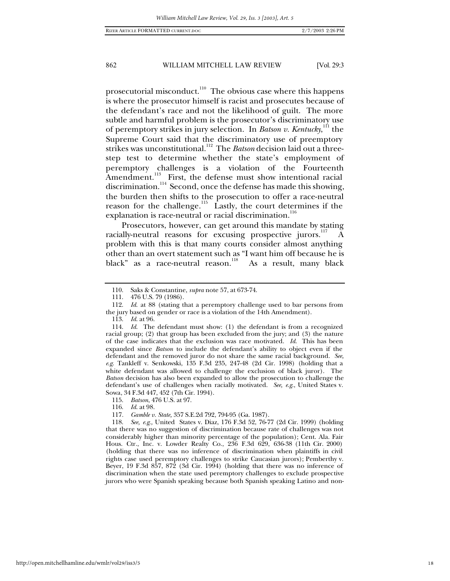prosecutorial misconduct.<sup>110</sup> The obvious case where this happens is where the prosecutor himself is racist and prosecutes because of the defendant's race and not the likelihood of guilt. The more subtle and harmful problem is the prosecutor's discriminatory use of peremptory strikes in jury selection. In *Batson v. Kentucky*,<sup>111</sup> the Supreme Court said that the discriminatory use of preemptory strikes was unconstitutional.<sup>112</sup> The *Batson* decision laid out a threestep test to determine whether the state's employment of peremptory challenges is a violation of the Fourteenth Amendment.<sup>113</sup> First, the defense must show intentional racial discrimination. $114$  Second, once the defense has made this showing, the burden then shifts to the prosecution to offer a race-neutral reason for the challenge.<sup>115</sup> Lastly, the court determines if the explanation is race-neutral or racial discrimination.<sup>116</sup>

Prosecutors, however, can get around this mandate by stating racially-neutral reasons for excusing prospective jurors.<sup>117</sup> problem with this is that many courts consider almost anything other than an overt statement such as "I want him off because he is black" as a race-neutral reason.<sup>118</sup> As a result, many black

111. 476 U.S. 79 (1986).

113. *Id*. at 96.

115. *Batson*, 476 U.S. at 97.

117*. Gamble v. State,* 357 S.E.2d 792, 794-95 (Ga. 1987).

118. *See, e*.*g*.*,* United States v. Diaz, 176 F.3d 52, 76-77 (2d Cir. 1999) (holding that there was no suggestion of discrimination because rate of challenges was not considerably higher than minority percentage of the population); Cent. Ala. Fair Hous. Ctr., Inc. v. Lowder Realty Co., 236 F.3d 629, 636-38 (11th Cir. 2000) (holding that there was no inference of discrimination when plaintiffs in civil rights case used peremptory challenges to strike Caucasian jurors); Pemberthy v. Beyer, 19 F.3d 857, 872 (3d Cir. 1994) (holding that there was no inference of discrimination when the state used peremptory challenges to exclude prospective jurors who were Spanish speaking because both Spanish speaking Latino and non-

<sup>110.</sup> Saks & Constantine, *supra* note 57, at 673-74.

<sup>112.</sup> *Id*. at 88 (stating that a peremptory challenge used to bar persons from the jury based on gender or race is a violation of the 14th Amendment).

<sup>114.</sup> *Id*. The defendant must show: (1) the defendant is from a recognized racial group; (2) that group has been excluded from the jury; and (3) the nature of the case indicates that the exclusion was race motivated. *Id*. This has been expanded since *Batson* to include the defendant's ability to object even if the defendant and the removed juror do not share the same racial background. *See, e*.*g*. Tankleff v. Senkowski, 135 F.3d 235, 247-48 (2d Cir. 1998) (holding that a white defendant was allowed to challenge the exclusion of black juror). The *Batson* decision has also been expanded to allow the prosecution to challenge the defendant's use of challenges when racially motivated. *See, e*.*g*., United States v. Sowa, 34 F.3d 447, 452 (7th Cir. 1994).

<sup>116.</sup> *Id*. at 98.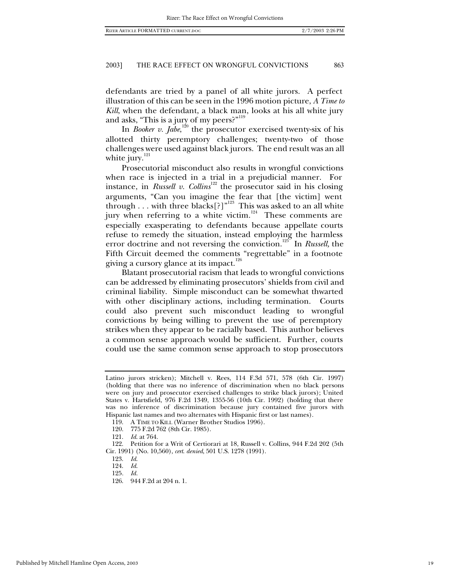defendants are tried by a panel of all white jurors. A perfect illustration of this can be seen in the 1996 motion picture, *A Time to Kill*, when the defendant, a black man, looks at his all white jury and asks, "This is a jury of my peers?"<sup>119</sup>

In *Booker v. Jabe*,<sup>120</sup> the prosecutor exercised twenty-six of his allotted thirty peremptory challenges; twenty-two of those challenges were used against black jurors. The end result was an all white jury. $^{121}$ 

Prosecutorial misconduct also results in wrongful convictions when race is injected in a trial in a prejudicial manner. For instance, in *Russell v. Collins*<sup>122</sup> the prosecutor said in his closing arguments, "Can you imagine the fear that [the victim] went through  $\ldots$  with three blacks[?]"<sup>123</sup> This was asked to an all white jury when referring to a white victim.<sup>124</sup> These comments are especially exasperating to defendants because appellate courts refuse to remedy the situation, instead employing the harmless error doctrine and not reversing the conviction.<sup>125</sup> In *Russell*, the Fifth Circuit deemed the comments "regrettable" in a footnote giving a cursory glance at its impact.<sup>126</sup>

Blatant prosecutorial racism that leads to wrongful convictions can be addressed by eliminating prosecutors' shields from civil and criminal liability. Simple misconduct can be somewhat thwarted with other disciplinary actions, including termination. Courts could also prevent such misconduct leading to wrongful convictions by being willing to prevent the use of peremptory strikes when they appear to be racially based. This author believes a common sense approach would be sufficient. Further, courts could use the same common sense approach to stop prosecutors

Latino jurors stricken); Mitchell v. Rees, 114 F.3d 571, 578 (6th Cir. 1997) (holding that there was no inference of discrimination when no black persons were on jury and prosecutor exercised challenges to strike black jurors); United States v. Hartsfield, 976 F.2d 1349, 1355-56 (10th Cir. 1992) (holding that there was no inference of discrimination because jury contained five jurors with Hispanic last names and two alternates with Hispanic first or last names).

<sup>119.</sup> A TIME TO KILL (Warner Brother Studios 1996).

<sup>120. 775</sup> F.2d 762 (8th Cir. 1985).

<sup>121.</sup> *Id*. at 764.

<sup>122.</sup> Petition for a Writ of Certiorari at 18, Russell v. Collins, 944 F.2d 202 (5th Cir. 1991) (No. 10,560), *cert*. *denied*, 501 U.S. 1278 (1991).

<sup>123.</sup> *Id*.

<sup>124.</sup> *Id*.

<sup>125</sup>*. Id.*

<sup>126. 944</sup> F.2d at 204 n. 1.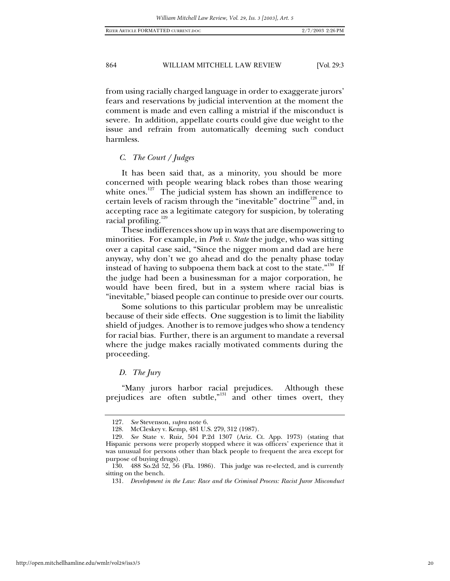from using racially charged language in order to exaggerate jurors' fears and reservations by judicial intervention at the moment the comment is made and even calling a mistrial if the misconduct is severe. In addition, appellate courts could give due weight to the issue and refrain from automatically deeming such conduct harmless.

#### *C. The Court / Judges*

It has been said that, as a minority, you should be more concerned with people wearing black robes than those wearing white ones.<sup>127</sup> The judicial system has shown an indifference to certain levels of racism through the "inevitable" doctrine<sup>128</sup> and, in accepting race as a legitimate category for suspicion, by tolerating racial profiling.<sup>129</sup>

These indifferences show up in ways that are disempowering to minorities. For example, in *Peek v. State* the judge, who was sitting over a capital case said, "Since the nigger mom and dad are here anyway, why don't we go ahead and do the penalty phase today instead of having to subpoena them back at cost to the state."<sup>130</sup> If the judge had been a businessman for a major corporation, he would have been fired, but in a system where racial bias is "inevitable," biased people can continue to preside over our courts.

Some solutions to this particular problem may be unrealistic because of their side effects. One suggestion is to limit the liability shield of judges. Another is to remove judges who show a tendency for racial bias. Further, there is an argument to mandate a reversal where the judge makes racially motivated comments during the proceeding.

## *D. The Jury*

"Many jurors harbor racial prejudices. Although these prejudices are often subtle,"<sup>131</sup> and other times overt, they

<sup>127</sup>*. See* Stevenson, *supra* note 6.

<sup>128.</sup> McCleskey v. Kemp*,* 481 U.S. 279, 312 (1987).

<sup>129</sup>*. See* State v. Ruiz, 504 P.2d 1307 (Ariz. Ct. App. 1973) (stating that Hispanic persons were properly stopped where it was officers' experience that it was unusual for persons other than black people to frequent the area except for purpose of buying drugs).

<sup>130. 488</sup> So.2d 52, 56 (Fla. 1986). This judge was re-elected, and is currently sitting on the bench.

<sup>131</sup>*. Development in the Law: Race and the Criminal Process: Racist Juror Misconduct*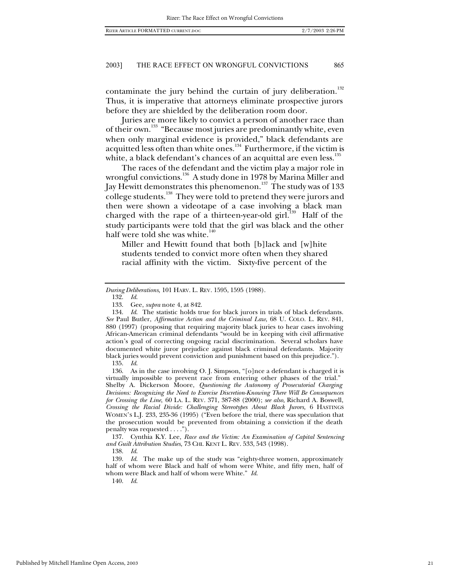contaminate the jury behind the curtain of jury deliberation.<sup>132</sup> Thus, it is imperative that attorneys eliminate prospective jurors before they are shielded by the deliberation room door.

Juries are more likely to convict a person of another race than of their own.133 "Because most juries are predominantly white, even when only marginal evidence is provided," black defendants are acquitted less often than white ones.<sup>134</sup> Furthermore, if the victim is white, a black defendant's chances of an acquittal are even less. $135$ 

The races of the defendant and the victim play a major role in wrongful convictions.<sup>136</sup> A study done in 1978 by Marina Miller and Jay Hewitt demonstrates this phenomenon.<sup>137</sup> The study was of 133 college students.<sup>138</sup> They were told to pretend they were jurors and then were shown a videotape of a case involving a black man charged with the rape of a thirteen-year-old girl.<sup>139</sup> Half of the study participants were told that the girl was black and the other half were told she was white. $140$ 

Miller and Hewitt found that both [b]lack and [w]hite students tended to convict more often when they shared racial affinity with the victim. Sixty-five percent of the

132. *Id*.

135. *Id*.

136. As in the case involving O. J. Simpson, "[o]nce a defendant is charged it is virtually impossible to prevent race from entering other phases of the trial." Shelby A. Dickerson Moore, *Questioning the Autonomy of Prosecutorial Charging Decisions: Recognizing the Need to Exercise Discretion-Knowing There Will Be Consequences for Crossing the Line*, 60 LA. L. REV. 371, 387-88 (2000); *see also,* Richard A. Boswell, *Crossing the Racial Divide: Challenging Stereotypes About Black Jurors,* 6 HASTINGS WOMEN'S L.J. 233, 235-36 (1995) ("Even before the trial, there was speculation that the prosecution would be prevented from obtaining a conviction if the death penalty was requested . . . .").

137. Cynthia K.Y. Lee, *Race and the Victim: An Examination of Capital Sentencing and Guilt Attribution Studies,* 73 CHI. KENT L. REV. 533, 543 (1998).

139. *Id*. The make up of the study was "eighty-three women, approximately half of whom were Black and half of whom were White, and fifty men, half of whom were Black and half of whom were White." *Id*.

140. *Id*.

*During Deliberations,* 101 HARV. L. REV. 1595, 1595 (1988).

<sup>133.</sup> Gee, *supra* note 4, at 842.

<sup>134.</sup> *Id*. The statistic holds true for black jurors in trials of black defendants. *See* Paul Butler, *Affirmative Action and the Criminal Law*, 68 U. COLO. L. REV. 841, 880 (1997) (proposing that requiring majority black juries to hear cases involving African-American criminal defendants "would be in keeping with civil affirmative action's goal of correcting ongoing racial discrimination. Several scholars have documented white juror prejudice against black criminal defendants. Majority black juries would prevent conviction and punishment based on this prejudice.").

<sup>138.</sup> *Id*.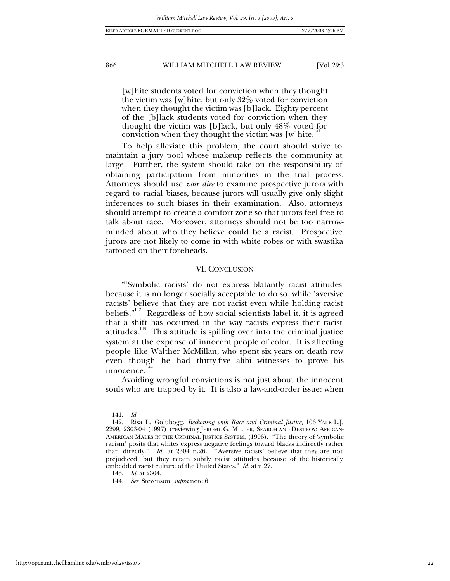[w]hite students voted for conviction when they thought the victim was [w]hite, but only 32% voted for conviction when they thought the victim was [b]lack. Eighty percent of the [b]lack students voted for conviction when they thought the victim was [b]lack, but only 48% voted for conviction when they thought the victim was  $[w]$ hite.<sup>1</sup>

To help alleviate this problem, the court should strive to maintain a jury pool whose makeup reflects the community at large. Further, the system should take on the responsibility of obtaining participation from minorities in the trial process. Attorneys should use *voir dire* to examine prospective jurors with regard to racial biases, because jurors will usually give only slight inferences to such biases in their examination. Also, attorneys should attempt to create a comfort zone so that jurors feel free to talk about race. Moreover, attorneys should not be too narrowminded about who they believe could be a racist. Prospective jurors are not likely to come in with white robes or with swastika tattooed on their foreheads.

#### VI. CONCLUSION

"'Symbolic racists' do not express blatantly racist attitudes because it is no longer socially acceptable to do so, while 'aversive racists' believe that they are not racist even while holding racist beliefs."<sup>142</sup> Regardless of how social scientists label it, it is agreed that a shift has occurred in the way racists express their racist attitudes.<sup>143</sup> This attitude is spilling over into the criminal justice system at the expense of innocent people of color. It is affecting people like Walther McMillan, who spent six years on death row even though he had thirty-five alibi witnesses to prove his innocence.<sup>1</sup>

Avoiding wrongful convictions is not just about the innocent souls who are trapped by it. It is also a law-and-order issue: when

http://open.mitchellhamline.edu/wmlr/vol29/iss3/5

<sup>141.</sup> *Id*.

<sup>142.</sup> Risa L. Golubogg, *Reckoning with Race and Criminal Justice,* 106 YALE L.J. 2299, 2303-04 (1997) (reviewing JEROME G. MILLER, SEARCH AND DESTROY: AFRICAN-AMERICAN MALES IN THE CRIMINAL JUSTICE SYSTEM, (1996). "The theory of 'symbolic racism' posits that whites express negative feelings toward blacks indirectly rather than directly." *Id.* at 2304 n.26. "'Aversive racists' believe that they are not prejudiced, but they retain subtly racist attitudes because of the historically embedded racist culture of the United States." *Id.* at n.27.

<sup>143.</sup> *Id*. at 2304.

<sup>144</sup>*. See* Stevenson, *supra* note 6.